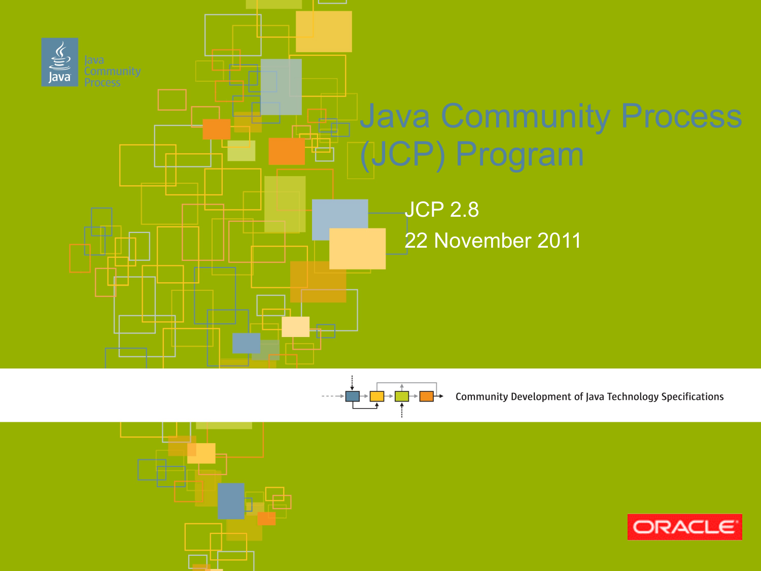



Community Development of Java Technology Specifications

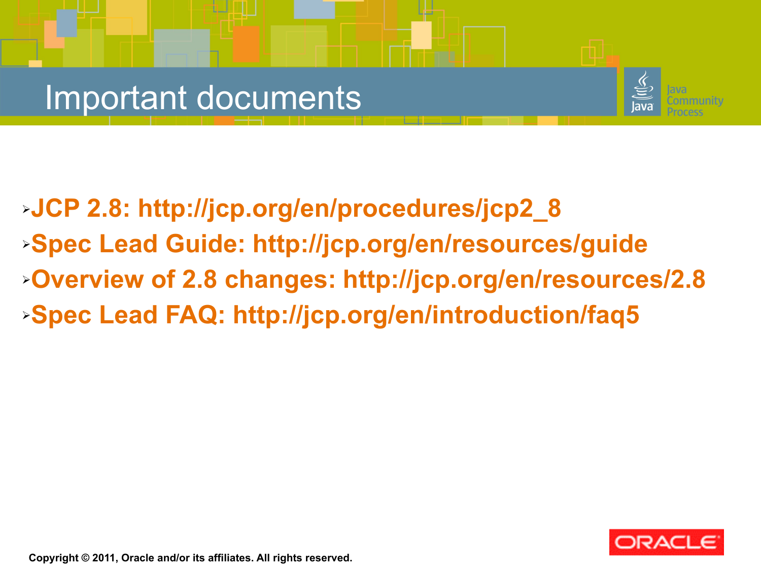#### Important documents



➢**JCP 2.8: [http://jcp.org/en/procedures/jcp2\\_8](http://jcp.org/en/procedures/jcp2_8)** ➢**Spec Lead Guide:<http://jcp.org/en/resources/guide>** ➢**Overview of 2.8 changes:<http://jcp.org/en/resources/2.8>** ➢**Spec Lead FAQ:<http://jcp.org/en/introduction/faq5>**



**Copyright © 2011, Oracle and/or its affiliates. All rights reserved.**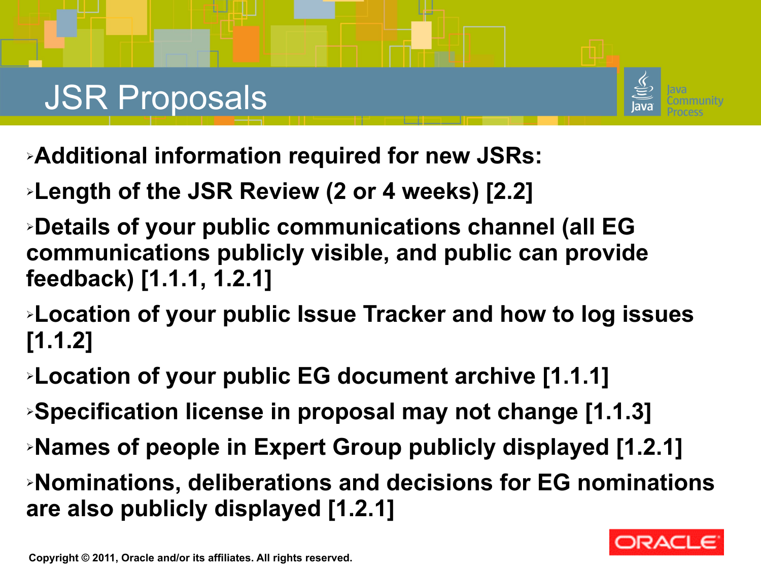# JSR Proposals



- ➢**Additional information required for new JSRs:**
- ➢**Length of the JSR Review (2 or 4 weeks) [2.2]**
- ➢**Details of your public communications channel (all EG communications publicly visible, and public can provide feedback) [1.1.1, 1.2.1]**
- ➢**Location of your public Issue Tracker and how to log issues [1.1.2]**
- ➢**Location of your public EG document archive [1.1.1]**
- ➢**Specification license in proposal may not change [1.1.3]**
- ➢**Names of people in Expert Group publicly displayed [1.2.1]**
- ➢**Nominations, deliberations and decisions for EG nominations are also publicly displayed [1.2.1]**

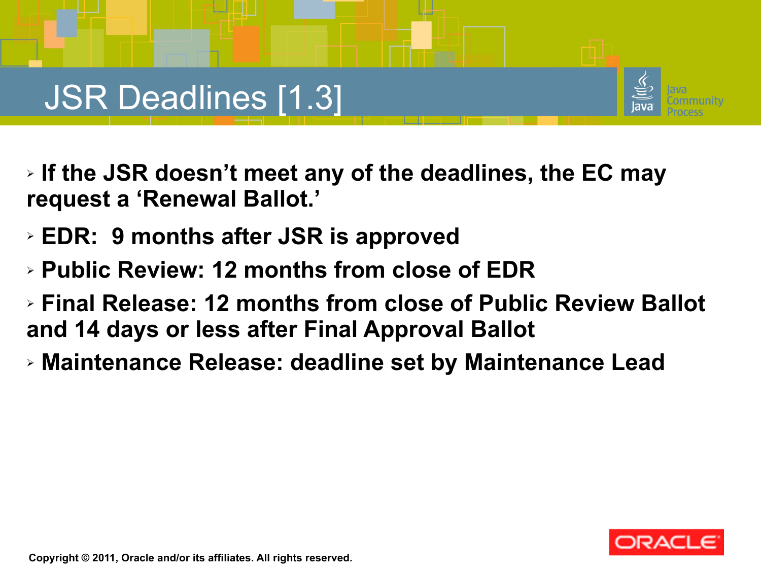## JSR Deadlines [1.3]

- ➢ **If the JSR doesn't meet any of the deadlines, the EC may request a 'Renewal Ballot.'**
- ➢ **EDR: 9 months after JSR is approved**
- ➢ **Public Review: 12 months from close of EDR**
- ➢ **Final Release: 12 months from close of Public Review Ballot and 14 days or less after Final Approval Ballot**
- ➢ **Maintenance Release: deadline set by Maintenance Lead**

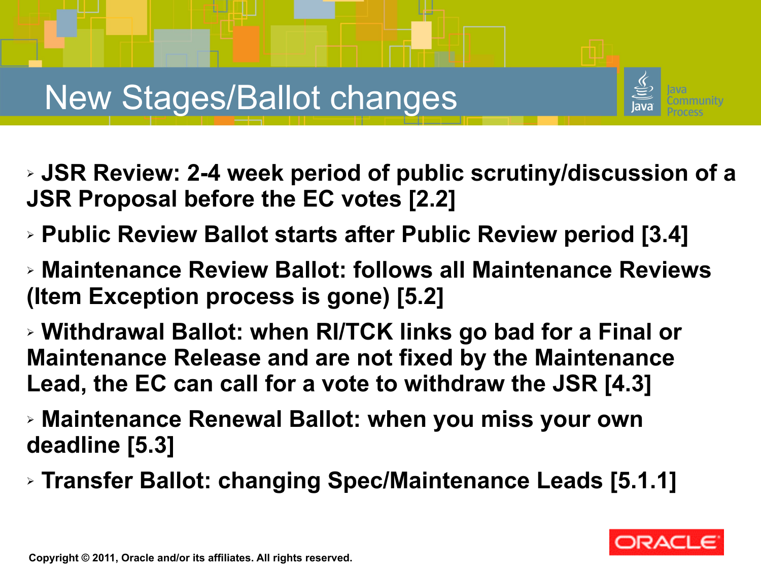## New Stages/Ballot changes



- ➢ **JSR Review: 2-4 week period of public scrutiny/discussion of a JSR Proposal before the EC votes [2.2]**
- ➢ **Public Review Ballot starts after Public Review period [3.4]**
- ➢ **Maintenance Review Ballot: follows all Maintenance Reviews (Item Exception process is gone) [5.2]**
- ➢ **Withdrawal Ballot: when RI/TCK links go bad for a Final or Maintenance Release and are not fixed by the Maintenance Lead, the EC can call for a vote to withdraw the JSR [4.3]**
- ➢ **Maintenance Renewal Ballot: when you miss your own deadline [5.3]**
- ➢ **Transfer Ballot: changing Spec/Maintenance Leads [5.1.1]**

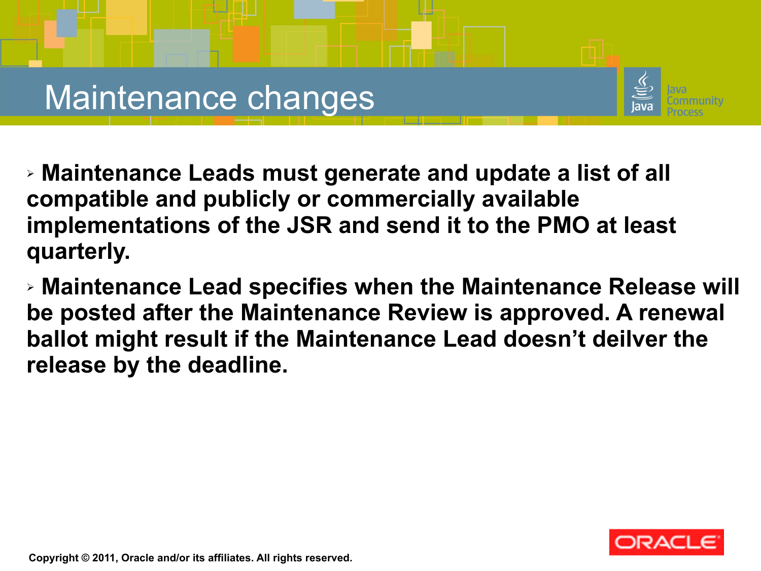



➢ **Maintenance Leads must generate and update a list of all compatible and publicly or commercially available implementations of the JSR and send it to the PMO at least quarterly.**

➢ **Maintenance Lead specifies when the Maintenance Release will be posted after the Maintenance Review is approved. A renewal ballot might result if the Maintenance Lead doesn't deilver the release by the deadline.**

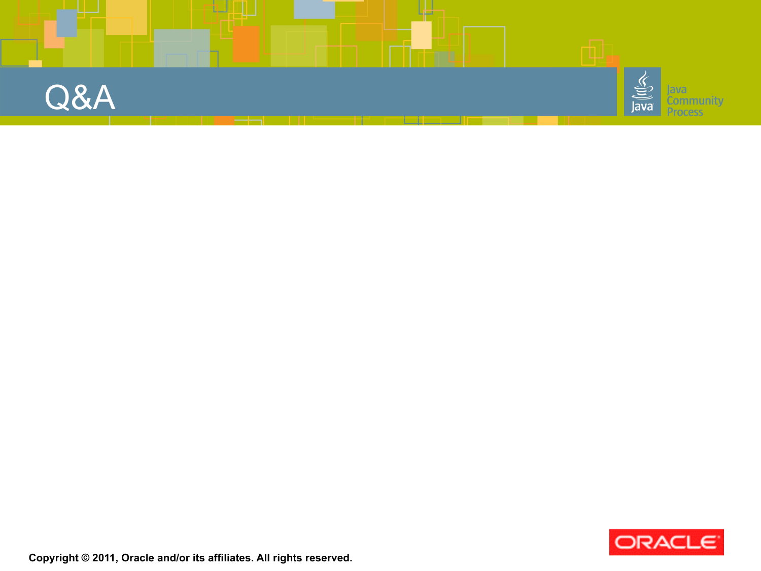



**Copyright © 2011, Oracle and/or its affiliates. All rights reserved.**